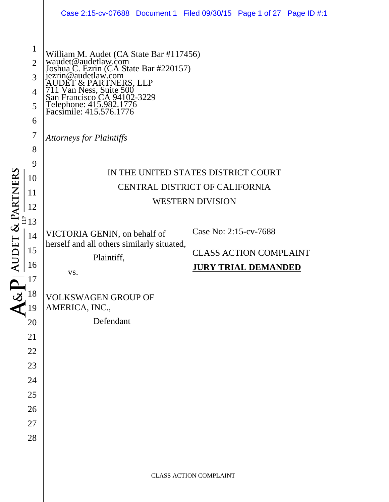|                            |                                                                                                           |                                                                                                                                                                                                                                                                                                                                                    | Case 2:15-cv-07688 Document 1 Filed 09/30/15 Page 1 of 27 Page ID #:1                |
|----------------------------|-----------------------------------------------------------------------------------------------------------|----------------------------------------------------------------------------------------------------------------------------------------------------------------------------------------------------------------------------------------------------------------------------------------------------------------------------------------------------|--------------------------------------------------------------------------------------|
|                            | $\mathbf{1}$<br>$\overline{2}$<br>3<br>$\overline{4}$<br>5<br>6<br>7<br>8<br>9                            | William M. Audet (CA State Bar #117456)<br>waudet@audetlaw.com<br>Joshua C. Ezrin (CA State Bar #220157)<br>jezrin@audetlaw.com<br>AUDET & PARTNERS, LLP<br>711 Van Ness, Suite 500<br>San Francisco CA 94102-3229<br>Telephone: 415.982.1776<br>Facsimile: 415.576.1776<br><b>Attorneys for Plaintiffs</b><br>IN THE UNITED STATES DISTRICT COURT |                                                                                      |
|                            | 10                                                                                                        | CENTRAL DISTRICT OF CALIFORNIA                                                                                                                                                                                                                                                                                                                     |                                                                                      |
| & PARTNERS<br><b>AUDET</b> | 11                                                                                                        | <b>WESTERN DIVISION</b>                                                                                                                                                                                                                                                                                                                            |                                                                                      |
|                            | 12<br>$\tilde{\Xi}13$<br>14<br>15<br>16<br>17<br>18<br>19<br>20<br>21<br>22<br>23<br>24<br>25<br>26<br>27 | VICTORIA GENIN, on behalf of<br>herself and all others similarly situated,<br>Plaintiff,<br>VS.<br><b>VOLKSWAGEN GROUP OF</b><br>AMERICA, INC.,<br>Defendant                                                                                                                                                                                       | Case No: 2:15-cv-7688<br><b>CLASS ACTION COMPLAINT</b><br><b>JURY TRIAL DEMANDED</b> |
|                            | 28                                                                                                        |                                                                                                                                                                                                                                                                                                                                                    |                                                                                      |
|                            |                                                                                                           |                                                                                                                                                                                                                                                                                                                                                    |                                                                                      |

CLASS ACTION COMPLAINT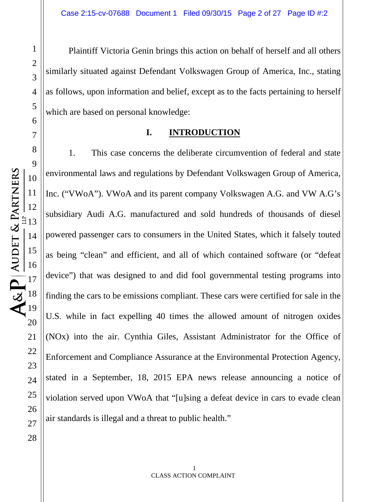Plaintiff Victoria Genin brings this action on behalf of herself and all others similarly situated against Defendant Volkswagen Group of America, Inc., stating as follows, upon information and belief, except as to the facts pertaining to herself which are based on personal knowledge:

#### **I. INTRODUCTION**

1. This case concerns the deliberate circumvention of federal and state environmental laws and regulations by Defendant Volkswagen Group of America, Inc. ("VWoA"). VWoA and its parent company Volkswagen A.G. and VW A.G's subsidiary Audi A.G. manufactured and sold hundreds of thousands of diesel powered passenger cars to consumers in the United States, which it falsely touted as being "clean" and efficient, and all of which contained software (or "defeat device") that was designed to and did fool governmental testing programs into finding the cars to be emissions compliant. These cars were certified for sale in the U.S. while in fact expelling 40 times the allowed amount of nitrogen oxides (NOx) into the air. Cynthia Giles, Assistant Administrator for the Office of Enforcement and Compliance Assurance at the Environmental Protection Agency, stated in a September, 18, 2015 EPA news release announcing a notice of violation served upon VWoA that "[u]sing a defeat device in cars to evade clean air standards is illegal and a threat to public health."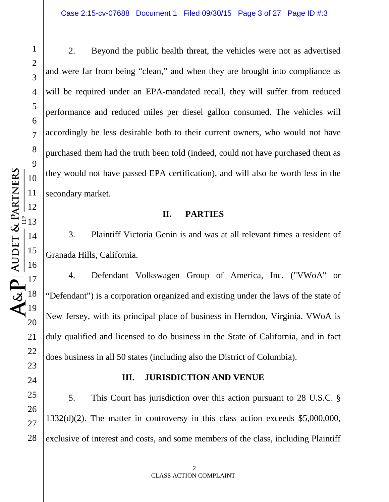2. Beyond the public health threat, the vehicles were not as advertised and were far from being "clean," and when they are brought into compliance as will be required under an EPA-mandated recall, they will suffer from reduced performance and reduced miles per diesel gallon consumed. The vehicles will accordingly be less desirable both to their current owners, who would not have purchased them had the truth been told (indeed, could not have purchased them as they would not have passed EPA certification), and will also be worth less in the secondary market.

### **II. PARTIES**

3. Plaintiff Victoria Genin is and was at all relevant times a resident of Granada Hills, California.

4. Defendant Volkswagen Group of America, Inc. ("VWoA" or "Defendant") is a corporation organized and existing under the laws of the state of New Jersey, with its principal place of business in Herndon, Virginia. VWoA is duly qualified and licensed to do business in the State of California, and in fact does business in all 50 states (including also the District of Columbia).

## **III. JURISDICTION AND VENUE**

5. This Court has jurisdiction over this action pursuant to 28 U.S.C. § 1332(d)(2). The matter in controversy in this class action exceeds \$5,000,000, exclusive of interest and costs, and some members of the class, including Plaintiff

1

2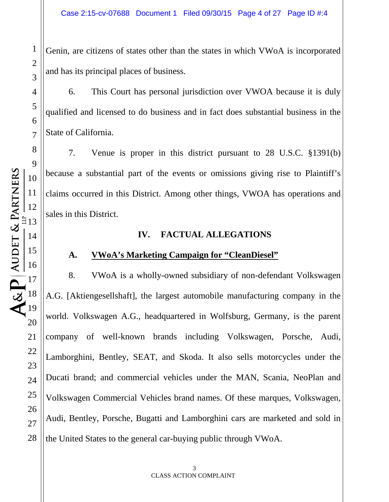Genin, are citizens of states other than the states in which VWoA is incorporated and has its principal places of business.

6. This Court has personal jurisdiction over VWOA because it is duly qualified and licensed to do business and in fact does substantial business in the State of California.

7. Venue is proper in this district pursuant to 28 U.S.C. §1391(b) because a substantial part of the events or omissions giving rise to Plaintiff's claims occurred in this District. Among other things, VWOA has operations and sales in this District.

## **IV. FACTUAL ALLEGATIONS**

# **A. VWoA's Marketing Campaign for "CleanDiesel"**

8. VWoA is a wholly-owned subsidiary of non-defendant Volkswagen A.G. [Aktiengesellshaft], the largest automobile manufacturing company in the world. Volkswagen A.G., headquartered in Wolfsburg, Germany, is the parent company of well-known brands including Volkswagen, Porsche, Audi, Lamborghini, Bentley, SEAT, and Skoda. It also sells motorcycles under the Ducati brand; and commercial vehicles under the MAN, Scania, NeoPlan and Volkswagen Commercial Vehicles brand names. Of these marques, Volkswagen, Audi, Bentley, Porsche, Bugatti and Lamborghini cars are marketed and sold in the United States to the general car-buying public through VWoA.

1

2

3

4

5

6

7

8

9

10

11

12

13

14

15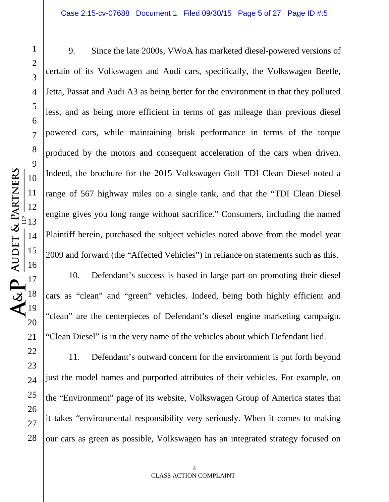9. Since the late 2000s, VWoA has marketed diesel-powered versions of certain of its Volkswagen and Audi cars, specifically, the Volkswagen Beetle, Jetta, Passat and Audi A3 as being better for the environment in that they polluted less, and as being more efficient in terms of gas mileage than previous diesel powered cars, while maintaining brisk performance in terms of the torque produced by the motors and consequent acceleration of the cars when driven. Indeed, the brochure for the 2015 Volkswagen Golf TDI Clean Diesel noted a range of 567 highway miles on a single tank, and that the "TDI Clean Diesel engine gives you long range without sacrifice." Consumers, including the named Plaintiff herein, purchased the subject vehicles noted above from the model year 2009 and forward (the "Affected Vehicles") in reliance on statements such as this.

10. Defendant's success is based in large part on promoting their diesel cars as "clean" and "green" vehicles. Indeed, being both highly efficient and "clean" are the centerpieces of Defendant's diesel engine marketing campaign. "Clean Diesel" is in the very name of the vehicles about which Defendant lied.

11. Defendant's outward concern for the environment is put forth beyond just the model names and purported attributes of their vehicles. For example, on the "Environment" page of its website, Volkswagen Group of America states that it takes "environmental responsibility very seriously. When it comes to making our cars as green as possible, Volkswagen has an integrated strategy focused on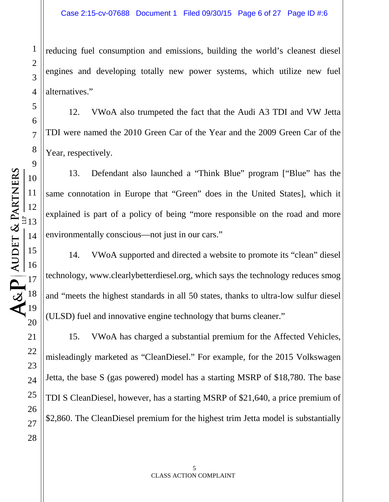reducing fuel consumption and emissions, building the world's cleanest diesel engines and developing totally new power systems, which utilize new fuel alternatives."

12. VWoA also trumpeted the fact that the Audi A3 TDI and VW Jetta TDI were named the 2010 Green Car of the Year and the 2009 Green Car of the Year, respectively.

13. Defendant also launched a "Think Blue" program ["Blue" has the same connotation in Europe that "Green" does in the United States], which it explained is part of a policy of being "more responsible on the road and more environmentally conscious—not just in our cars."

14. VWoA supported and directed a website to promote its "clean" diesel technology, www.clearlybetterdiesel.org, which says the technology reduces smog and "meets the highest standards in all 50 states, thanks to ultra-low sulfur diesel (ULSD) fuel and innovative engine technology that burns cleaner."

15. VWoA has charged a substantial premium for the Affected Vehicles, misleadingly marketed as "CleanDiesel." For example, for the 2015 Volkswagen Jetta, the base S (gas powered) model has a starting MSRP of \$18,780. The base TDI S CleanDiesel, however, has a starting MSRP of \$21,640, a price premium of \$2,860. The CleanDiesel premium for the highest trim Jetta model is substantially

1

2

3

4

5

6

7

8

9

10

11

12

13

14

15

16

17

18

19

20

21

22

23

24

25

26

27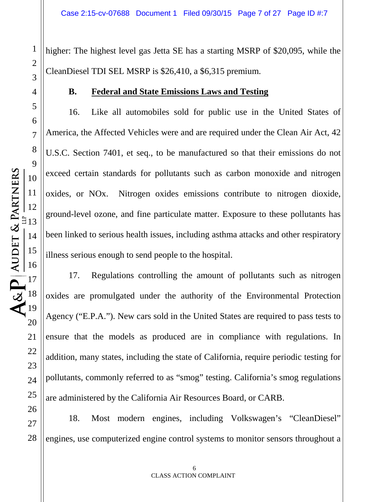3 higher: The highest level gas Jetta SE has a starting MSRP of \$20,095, while the CleanDiesel TDI SEL MSRP is \$26,410, a \$6,315 premium.

#### **B. Federal and State Emissions Laws and Testing**

16. Like all automobiles sold for public use in the United States of America, the Affected Vehicles were and are required under the Clean Air Act, 42 U.S.C. Section 7401, et seq., to be manufactured so that their emissions do not exceed certain standards for pollutants such as carbon monoxide and nitrogen oxides, or NOx. Nitrogen oxides emissions contribute to nitrogen dioxide, ground-level ozone, and fine particulate matter. Exposure to these pollutants has been linked to serious health issues, including asthma attacks and other respiratory illness serious enough to send people to the hospital.

17. Regulations controlling the amount of pollutants such as nitrogen oxides are promulgated under the authority of the Environmental Protection Agency ("E.P.A."). New cars sold in the United States are required to pass tests to ensure that the models as produced are in compliance with regulations. In addition, many states, including the state of California, require periodic testing for pollutants, commonly referred to as "smog" testing. California's smog regulations are administered by the California Air Resources Board, or CARB.

18. Most modern engines, including Volkswagen's "CleanDiesel" engines, use computerized engine control systems to monitor sensors throughout a

1

2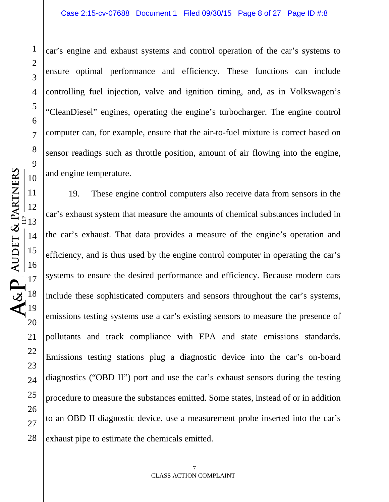car's engine and exhaust systems and control operation of the car's systems to ensure optimal performance and efficiency. These functions can include controlling fuel injection, valve and ignition timing, and, as in Volkswagen's "CleanDiesel" engines, operating the engine's turbocharger. The engine control computer can, for example, ensure that the air-to-fuel mixture is correct based on sensor readings such as throttle position, amount of air flowing into the engine, and engine temperature.

19. These engine control computers also receive data from sensors in the car's exhaust system that measure the amounts of chemical substances included in the car's exhaust. That data provides a measure of the engine's operation and efficiency, and is thus used by the engine control computer in operating the car's systems to ensure the desired performance and efficiency. Because modern cars include these sophisticated computers and sensors throughout the car's systems, emissions testing systems use a car's existing sensors to measure the presence of pollutants and track compliance with EPA and state emissions standards. Emissions testing stations plug a diagnostic device into the car's on-board diagnostics ("OBD II") port and use the car's exhaust sensors during the testing procedure to measure the substances emitted. Some states, instead of or in addition to an OBD II diagnostic device, use a measurement probe inserted into the car's exhaust pipe to estimate the chemicals emitted.

1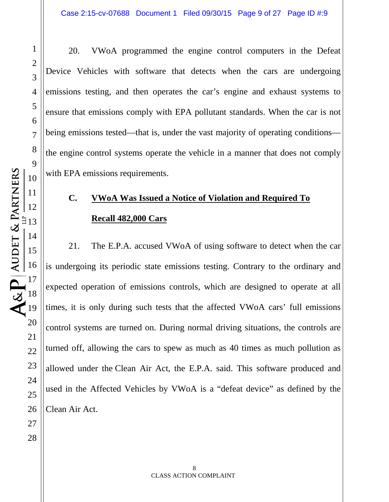1

20. VWoA programmed the engine control computers in the Defeat Device Vehicles with software that detects when the cars are undergoing emissions testing, and then operates the car's engine and exhaust systems to ensure that emissions comply with EPA pollutant standards. When the car is not being emissions tested—that is, under the vast majority of operating conditions the engine control systems operate the vehicle in a manner that does not comply with EPA emissions requirements.

# **C. VWoA Was Issued a Notice of Violation and Required To Recall 482,000 Cars**

21. The E.P.A. accused VWoA of using software to detect when the car is undergoing its periodic state emissions testing. Contrary to the ordinary and expected operation of emissions controls, which are designed to operate at all times, it is only during such tests that the affected VWoA cars' full emissions control systems are turned on. During normal driving situations, the controls are turned off, allowing the cars to spew as much as 40 times as much pollution as allowed under the Clean Air Act, the E.P.A. said. This software produced and used in the Affected Vehicles by VWoA is a "defeat device" as defined by the Clean Air Act.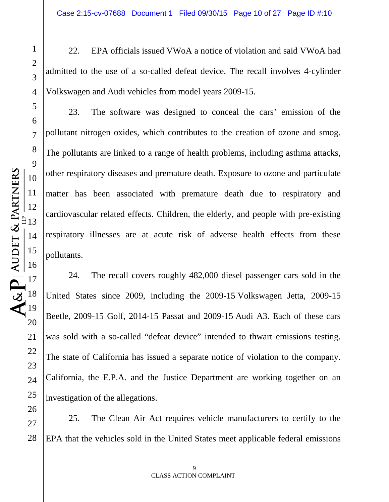22. EPA officials issued VWoA a notice of violation and said VWoA had admitted to the use of a so-called defeat device. The recall involves 4-cylinder Volkswagen and Audi vehicles from model years 2009-15.

23. The software was designed to conceal the cars' emission of the pollutant nitrogen oxides, which contributes to the creation of ozone and smog. The pollutants are linked to a range of health problems, including asthma attacks, other respiratory diseases and premature death. Exposure to ozone and particulate matter has been associated with premature death due to respiratory and cardiovascular related effects. Children, the elderly, and people with pre-existing respiratory illnesses are at acute risk of adverse health effects from these pollutants.

24. The recall covers roughly 482,000 diesel passenger cars sold in the United States since 2009, including the 2009-15 Volkswagen Jetta, 2009-15 Beetle, 2009-15 Golf, 2014-15 Passat and 2009-15 Audi A3. Each of these cars was sold with a so-called "defeat device" intended to thwart emissions testing. The state of California has issued a separate notice of violation to the company. California, the E.P.A. and the Justice Department are working together on an investigation of the allegations.

25. The Clean Air Act requires vehicle manufacturers to certify to the EPA that the vehicles sold in the United States meet applicable federal emissions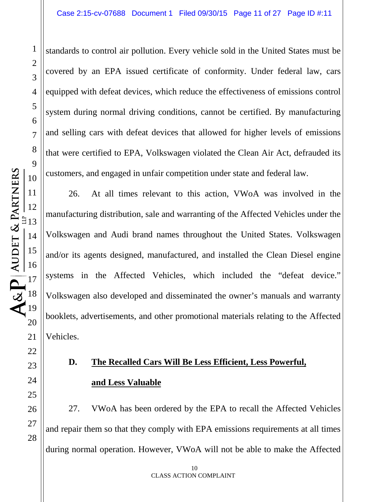standards to control air pollution. Every vehicle sold in the United States must be covered by an EPA issued certificate of conformity. Under federal law, cars equipped with defeat devices, which reduce the effectiveness of emissions control system during normal driving conditions, cannot be certified. By manufacturing and selling cars with defeat devices that allowed for higher levels of emissions that were certified to EPA, Volkswagen violated the Clean Air Act, defrauded its customers, and engaged in unfair competition under state and federal law.

26. At all times relevant to this action, VWoA was involved in the manufacturing distribution, sale and warranting of the Affected Vehicles under the Volkswagen and Audi brand names throughout the United States. Volkswagen and/or its agents designed, manufactured, and installed the Clean Diesel engine systems in the Affected Vehicles, which included the "defeat device." Volkswagen also developed and disseminated the owner's manuals and warranty booklets, advertisements, and other promotional materials relating to the Affected Vehicles.

# **D. The Recalled Cars Will Be Less Efficient, Less Powerful, and Less Valuable**

27. VWoA has been ordered by the EPA to recall the Affected Vehicles and repair them so that they comply with EPA emissions requirements at all times during normal operation. However, VWoA will not be able to make the Affected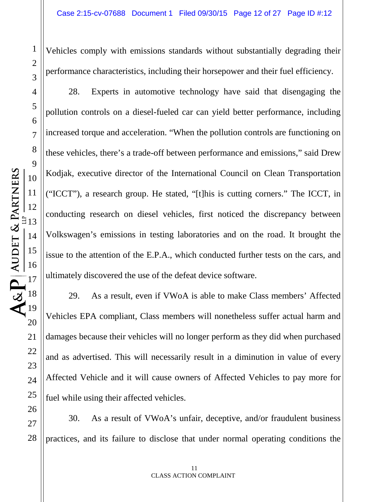Vehicles comply with emissions standards without substantially degrading their performance characteristics, including their horsepower and their fuel efficiency.

28. Experts in automotive technology have said that disengaging the pollution controls on a diesel-fueled car can yield better performance, including increased torque and acceleration. "When the pollution controls are functioning on these vehicles, there's a trade-off between performance and emissions," said Drew Kodjak, executive director of the International Council on Clean Transportation ("ICCT"), a research group. He stated, "[t]his is cutting corners." The ICCT, in conducting research on diesel vehicles, first noticed the discrepancy between Volkswagen's emissions in testing laboratories and on the road. It brought the issue to the attention of the E.P.A., which conducted further tests on the cars, and ultimately discovered the use of the defeat device software.

29. As a result, even if VWoA is able to make Class members' Affected Vehicles EPA compliant, Class members will nonetheless suffer actual harm and damages because their vehicles will no longer perform as they did when purchased and as advertised. This will necessarily result in a diminution in value of every Affected Vehicle and it will cause owners of Affected Vehicles to pay more for fuel while using their affected vehicles.

30. As a result of VWoA's unfair, deceptive, and/or fraudulent business practices, and its failure to disclose that under normal operating conditions the

1

2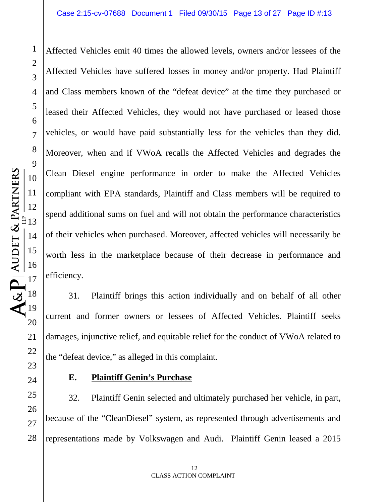Affected Vehicles emit 40 times the allowed levels, owners and/or lessees of the Affected Vehicles have suffered losses in money and/or property. Had Plaintiff and Class members known of the "defeat device" at the time they purchased or leased their Affected Vehicles, they would not have purchased or leased those vehicles, or would have paid substantially less for the vehicles than they did. Moreover, when and if VWoA recalls the Affected Vehicles and degrades the Clean Diesel engine performance in order to make the Affected Vehicles compliant with EPA standards, Plaintiff and Class members will be required to spend additional sums on fuel and will not obtain the performance characteristics of their vehicles when purchased. Moreover, affected vehicles will necessarily be worth less in the marketplace because of their decrease in performance and efficiency.

31. Plaintiff brings this action individually and on behalf of all other current and former owners or lessees of Affected Vehicles. Plaintiff seeks damages, injunctive relief, and equitable relief for the conduct of VWoA related to the "defeat device," as alleged in this complaint.

# **E. Plaintiff Genin's Purchase**

32. Plaintiff Genin selected and ultimately purchased her vehicle, in part, because of the "CleanDiesel" system, as represented through advertisements and representations made by Volkswagen and Audi. Plaintiff Genin leased a 2015

1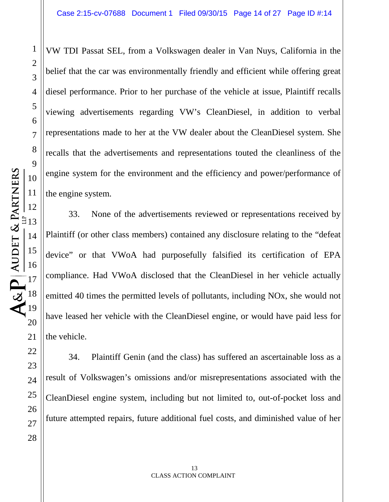VW TDI Passat SEL, from a Volkswagen dealer in Van Nuys, California in the belief that the car was environmentally friendly and efficient while offering great diesel performance. Prior to her purchase of the vehicle at issue, Plaintiff recalls viewing advertisements regarding VW's CleanDiesel, in addition to verbal representations made to her at the VW dealer about the CleanDiesel system. She recalls that the advertisements and representations touted the cleanliness of the engine system for the environment and the efficiency and power/performance of the engine system.

33. None of the advertisements reviewed or representations received by Plaintiff (or other class members) contained any disclosure relating to the "defeat device" or that VWoA had purposefully falsified its certification of EPA compliance. Had VWoA disclosed that the CleanDiesel in her vehicle actually emitted 40 times the permitted levels of pollutants, including NOx, she would not have leased her vehicle with the CleanDiesel engine, or would have paid less for the vehicle.

34. Plaintiff Genin (and the class) has suffered an ascertainable loss as a result of Volkswagen's omissions and/or misrepresentations associated with the CleanDiesel engine system, including but not limited to, out-of-pocket loss and future attempted repairs, future additional fuel costs, and diminished value of her

1

2

3

4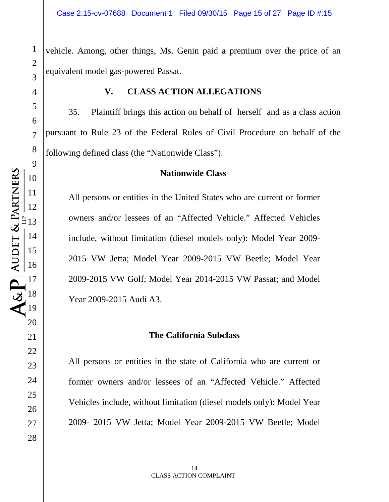vehicle. Among, other things, Ms. Genin paid a premium over the price of an equivalent model gas-powered Passat.

#### **V. CLASS ACTION ALLEGATIONS**

35. Plaintiff brings this action on behalf of herself and as a class action pursuant to Rule 23 of the Federal Rules of Civil Procedure on behalf of the following defined class (the "Nationwide Class"):

#### **Nationwide Class**

All persons or entities in the United States who are current or former owners and/or lessees of an "Affected Vehicle." Affected Vehicles include, without limitation (diesel models only): Model Year 2009- 2015 VW Jetta; Model Year 2009-2015 VW Beetle; Model Year 2009-2015 VW Golf; Model Year 2014-2015 VW Passat; and Model Year 2009-2015 Audi A3.

#### **The California Subclass**

All persons or entities in the state of California who are current or former owners and/or lessees of an "Affected Vehicle." Affected Vehicles include, without limitation (diesel models only): Model Year 2009- 2015 VW Jetta; Model Year 2009-2015 VW Beetle; Model

1

2

3

4

5

6

7

8

9

10

11

12

13

14

15

16

17

18

19

20

21

22

23

24

25

26

27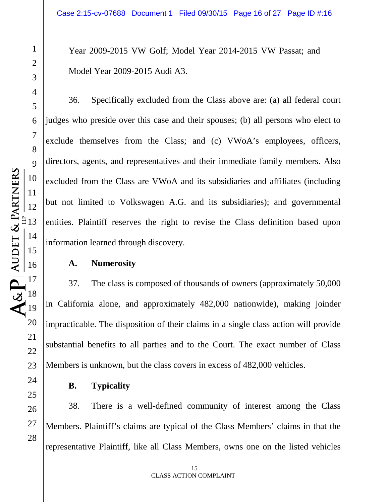Year 2009-2015 VW Golf; Model Year 2014-2015 VW Passat; and Model Year 2009-2015 Audi A3.

36. Specifically excluded from the Class above are: (a) all federal court judges who preside over this case and their spouses; (b) all persons who elect to exclude themselves from the Class; and (c) VWoA's employees, officers, directors, agents, and representatives and their immediate family members. Also excluded from the Class are VWoA and its subsidiaries and affiliates (including but not limited to Volkswagen A.G. and its subsidiaries); and governmental entities. Plaintiff reserves the right to revise the Class definition based upon information learned through discovery.

#### **A. Numerosity**

37. The class is composed of thousands of owners (approximately 50,000 in California alone, and approximately 482,000 nationwide), making joinder impracticable. The disposition of their claims in a single class action will provide substantial benefits to all parties and to the Court. The exact number of Class Members is unknown, but the class covers in excess of 482,000 vehicles.

#### **B. Typicality**

38. There is a well-defined community of interest among the Class Members. Plaintiff's claims are typical of the Class Members' claims in that the representative Plaintiff, like all Class Members, owns one on the listed vehicles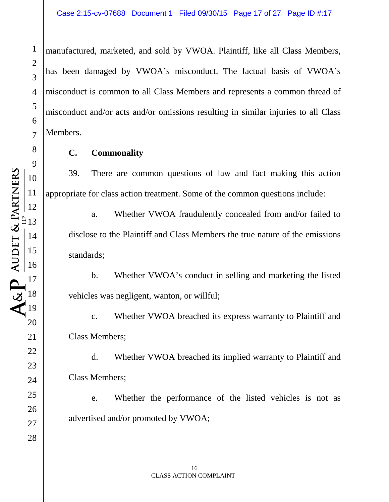manufactured, marketed, and sold by VWOA. Plaintiff, like all Class Members, has been damaged by VWOA's misconduct. The factual basis of VWOA's misconduct is common to all Class Members and represents a common thread of misconduct and/or acts and/or omissions resulting in similar injuries to all Class Members.

**C. Commonality**

39. There are common questions of law and fact making this action appropriate for class action treatment. Some of the common questions include:

a. Whether VWOA fraudulently concealed from and/or failed to disclose to the Plaintiff and Class Members the true nature of the emissions standards;

b. Whether VWOA's conduct in selling and marketing the listed vehicles was negligent, wanton, or willful;

c. Whether VWOA breached its express warranty to Plaintiff and Class Members;

d. Whether VWOA breached its implied warranty to Plaintiff and Class Members;

e. Whether the performance of the listed vehicles is not as advertised and/or promoted by VWOA;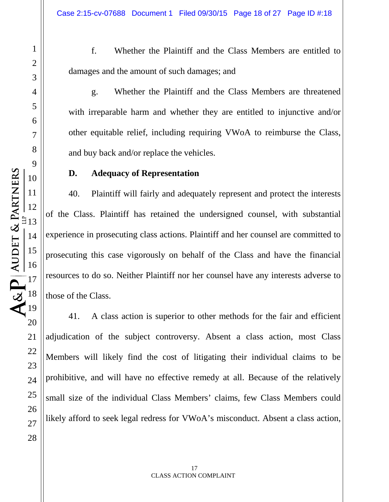A&P AUDET & PARTNERS

f. Whether the Plaintiff and the Class Members are entitled to damages and the amount of such damages; and

g. Whether the Plaintiff and the Class Members are threatened with irreparable harm and whether they are entitled to injunctive and/or other equitable relief, including requiring VWoA to reimburse the Class, and buy back and/or replace the vehicles.

#### **D. Adequacy of Representation**

40. Plaintiff will fairly and adequately represent and protect the interests of the Class. Plaintiff has retained the undersigned counsel, with substantial experience in prosecuting class actions. Plaintiff and her counsel are committed to prosecuting this case vigorously on behalf of the Class and have the financial resources to do so. Neither Plaintiff nor her counsel have any interests adverse to those of the Class.

41. A class action is superior to other methods for the fair and efficient adjudication of the subject controversy. Absent a class action, most Class Members will likely find the cost of litigating their individual claims to be prohibitive, and will have no effective remedy at all. Because of the relatively small size of the individual Class Members' claims, few Class Members could likely afford to seek legal redress for VWoA's misconduct. Absent a class action,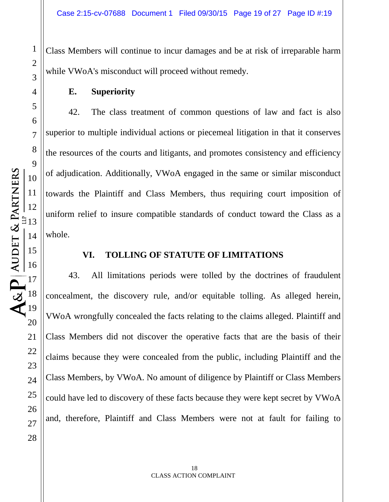Class Members will continue to incur damages and be at risk of irreparable harm while VWoA's misconduct will proceed without remedy.

**E. Superiority**

42. The class treatment of common questions of law and fact is also superior to multiple individual actions or piecemeal litigation in that it conserves the resources of the courts and litigants, and promotes consistency and efficiency of adjudication. Additionally, VWoA engaged in the same or similar misconduct towards the Plaintiff and Class Members, thus requiring court imposition of uniform relief to insure compatible standards of conduct toward the Class as a whole.

## **VI. TOLLING OF STATUTE OF LIMITATIONS**

43. All limitations periods were tolled by the doctrines of fraudulent concealment, the discovery rule, and/or equitable tolling. As alleged herein, VWoA wrongfully concealed the facts relating to the claims alleged. Plaintiff and Class Members did not discover the operative facts that are the basis of their claims because they were concealed from the public, including Plaintiff and the Class Members, by VWoA. No amount of diligence by Plaintiff or Class Members could have led to discovery of these facts because they were kept secret by VWoA and, therefore, Plaintiff and Class Members were not at fault for failing to

1

2

3

4

5

6

7

8

9

10

11

12

13

14

15

16

17

18

19

20

21

22

23

24

25

26

27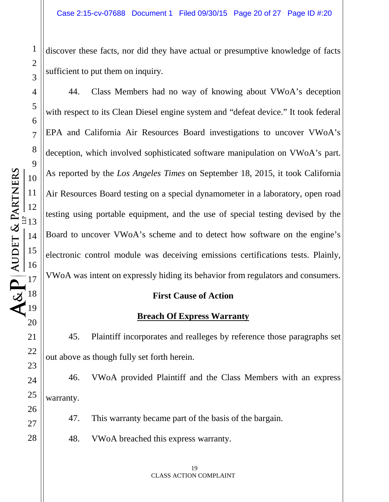discover these facts, nor did they have actual or presumptive knowledge of facts sufficient to put them on inquiry.

44. Class Members had no way of knowing about VWoA's deception with respect to its Clean Diesel engine system and "defeat device." It took federal EPA and California Air Resources Board investigations to uncover VWoA's deception, which involved sophisticated software manipulation on VWoA's part. As reported by the *Los Angeles Times* on September 18, 2015, it took California Air Resources Board testing on a special dynamometer in a laboratory, open road testing using portable equipment, and the use of special testing devised by the Board to uncover VWoA's scheme and to detect how software on the engine's electronic control module was deceiving emissions certifications tests. Plainly, VWoA was intent on expressly hiding its behavior from regulators and consumers.

#### **First Cause of Action**

# **Breach Of Express Warranty**

45. Plaintiff incorporates and realleges by reference those paragraphs set out above as though fully set forth herein.

46. VWoA provided Plaintiff and the Class Members with an express warranty.

47. This warranty became part of the basis of the bargain.

48. VWoA breached this express warranty.

1

2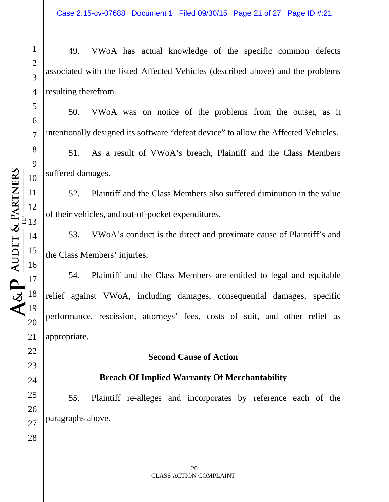49. VWoA has actual knowledge of the specific common defects associated with the listed Affected Vehicles (described above) and the problems resulting therefrom.

50. VWoA was on notice of the problems from the outset, as it intentionally designed its software "defeat device" to allow the Affected Vehicles.

51. As a result of VWoA's breach, Plaintiff and the Class Members suffered damages.

52. Plaintiff and the Class Members also suffered diminution in the value of their vehicles, and out-of-pocket expenditures.

53. VWoA's conduct is the direct and proximate cause of Plaintiff's and the Class Members' injuries.

54. Plaintiff and the Class Members are entitled to legal and equitable relief against VWoA, including damages, consequential damages, specific performance, rescission, attorneys' fees, costs of suit, and other relief as appropriate.

#### **Second Cause of Action**

# **Breach Of Implied Warranty Of Merchantability**

55. Plaintiff re-alleges and incorporates by reference each of the paragraphs above.

1

2

3

4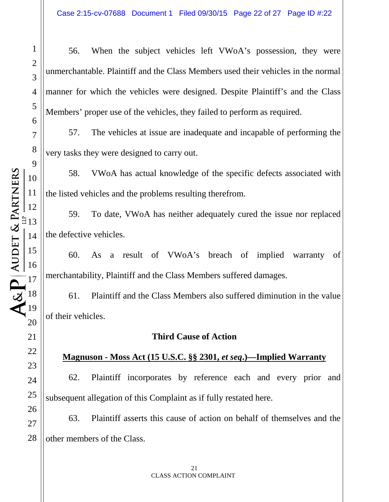1

56. When the subject vehicles left VWoA's possession, they were unmerchantable. Plaintiff and the Class Members used their vehicles in the normal manner for which the vehicles were designed. Despite Plaintiff's and the Class Members' proper use of the vehicles, they failed to perform as required.

57. The vehicles at issue are inadequate and incapable of performing the very tasks they were designed to carry out.

58. VWoA has actual knowledge of the specific defects associated with the listed vehicles and the problems resulting therefrom.

59. To date, VWoA has neither adequately cured the issue nor replaced the defective vehicles.

60. As a result of VWoA's breach of implied warranty of merchantability, Plaintiff and the Class Members suffered damages.

61. Plaintiff and the Class Members also suffered diminution in the value of their vehicles.

#### **Third Cause of Action**

#### **Magnuson - Moss Act (15 U.S.C. §§ 2301,** *et seq***.)—Implied Warranty**

62. Plaintiff incorporates by reference each and every prior and subsequent allegation of this Complaint as if fully restated here.

63. Plaintiff asserts this cause of action on behalf of themselves and the other members of the Class.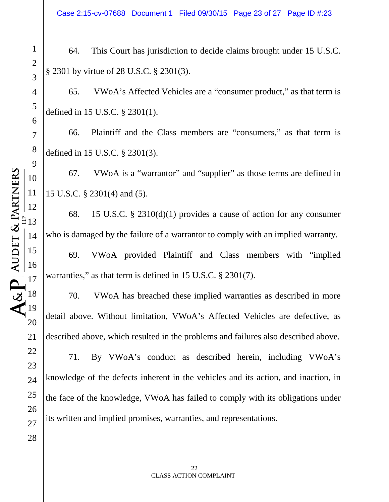64. This Court has jurisdiction to decide claims brought under 15 U.S.C. § 2301 by virtue of 28 U.S.C. § 2301(3).

65. VWoA's Affected Vehicles are a "consumer product," as that term is defined in 15 U.S.C. § 2301(1).

66. Plaintiff and the Class members are "consumers," as that term is defined in 15 U.S.C. § 2301(3).

67. VWoA is a "warrantor" and "supplier" as those terms are defined in 15 U.S.C. § 2301(4) and (5).

68. 15 U.S.C. § 2310(d)(1) provides a cause of action for any consumer who is damaged by the failure of a warrantor to comply with an implied warranty.

69. VWoA provided Plaintiff and Class members with "implied warranties," as that term is defined in 15 U.S.C. § 2301(7).

70. VWoA has breached these implied warranties as described in more detail above. Without limitation, VWoA's Affected Vehicles are defective, as described above, which resulted in the problems and failures also described above.

71. By VWoA's conduct as described herein, including VWoA's knowledge of the defects inherent in the vehicles and its action, and inaction, in the face of the knowledge, VWoA has failed to comply with its obligations under its written and implied promises, warranties, and representations.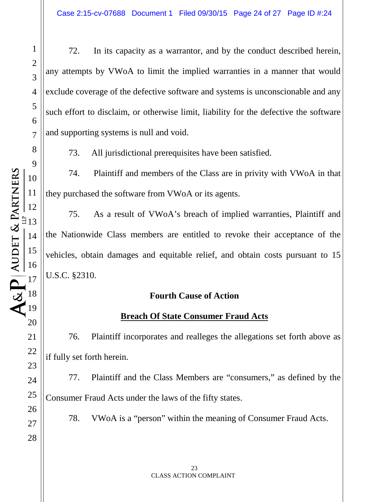72. In its capacity as a warrantor, and by the conduct described herein, any attempts by VWoA to limit the implied warranties in a manner that would exclude coverage of the defective software and systems is unconscionable and any such effort to disclaim, or otherwise limit, liability for the defective the software and supporting systems is null and void.

73. All jurisdictional prerequisites have been satisfied.

74. Plaintiff and members of the Class are in privity with VWoA in that they purchased the software from VWoA or its agents.

75. As a result of VWoA's breach of implied warranties, Plaintiff and the Nationwide Class members are entitled to revoke their acceptance of the vehicles, obtain damages and equitable relief, and obtain costs pursuant to 15 U.S.C. §2310.

# **Fourth Cause of Action**

# **Breach Of State Consumer Fraud Acts**

76. Plaintiff incorporates and realleges the allegations set forth above as if fully set forth herein.

77. Plaintiff and the Class Members are "consumers," as defined by the Consumer Fraud Acts under the laws of the fifty states.

78. VWoA is a "person" within the meaning of Consumer Fraud Acts.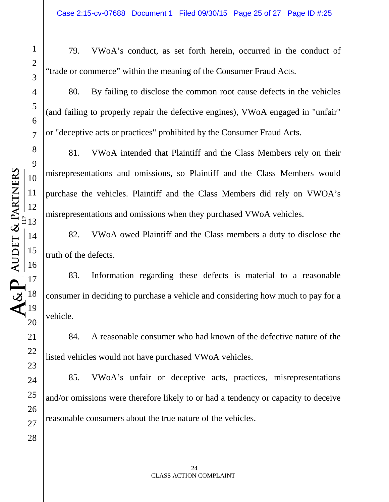1

79. VWoA's conduct, as set forth herein, occurred in the conduct of "trade or commerce" within the meaning of the Consumer Fraud Acts.

80. By failing to disclose the common root cause defects in the vehicles (and failing to properly repair the defective engines), VWoA engaged in "unfair" or "deceptive acts or practices" prohibited by the Consumer Fraud Acts.

81. VWoA intended that Plaintiff and the Class Members rely on their misrepresentations and omissions, so Plaintiff and the Class Members would purchase the vehicles. Plaintiff and the Class Members did rely on VWOA's misrepresentations and omissions when they purchased VWoA vehicles.

82. VWoA owed Plaintiff and the Class members a duty to disclose the truth of the defects.

83. Information regarding these defects is material to a reasonable consumer in deciding to purchase a vehicle and considering how much to pay for a vehicle.

84. A reasonable consumer who had known of the defective nature of the listed vehicles would not have purchased VWoA vehicles.

85. VWoA's unfair or deceptive acts, practices, misrepresentations and/or omissions were therefore likely to or had a tendency or capacity to deceive reasonable consumers about the true nature of the vehicles.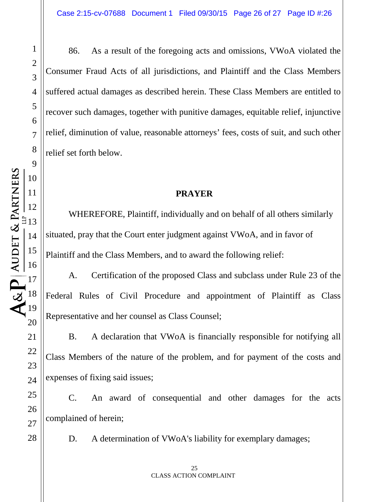1

86. As a result of the foregoing acts and omissions, VWoA violated the Consumer Fraud Acts of all jurisdictions, and Plaintiff and the Class Members suffered actual damages as described herein. These Class Members are entitled to recover such damages, together with punitive damages, equitable relief, injunctive relief, diminution of value, reasonable attorneys' fees, costs of suit, and such other relief set forth below.

### **PRAYER**

WHEREFORE, Plaintiff, individually and on behalf of all others similarly situated, pray that the Court enter judgment against VWoA, and in favor of Plaintiff and the Class Members, and to award the following relief:

A. Certification of the proposed Class and subclass under Rule 23 of the Federal Rules of Civil Procedure and appointment of Plaintiff as Class Representative and her counsel as Class Counsel;

B. A declaration that VWoA is financially responsible for notifying all Class Members of the nature of the problem, and for payment of the costs and expenses of fixing said issues;

C. An award of consequential and other damages for the acts complained of herein;

D. A determination of VWoA's liability for exemplary damages;